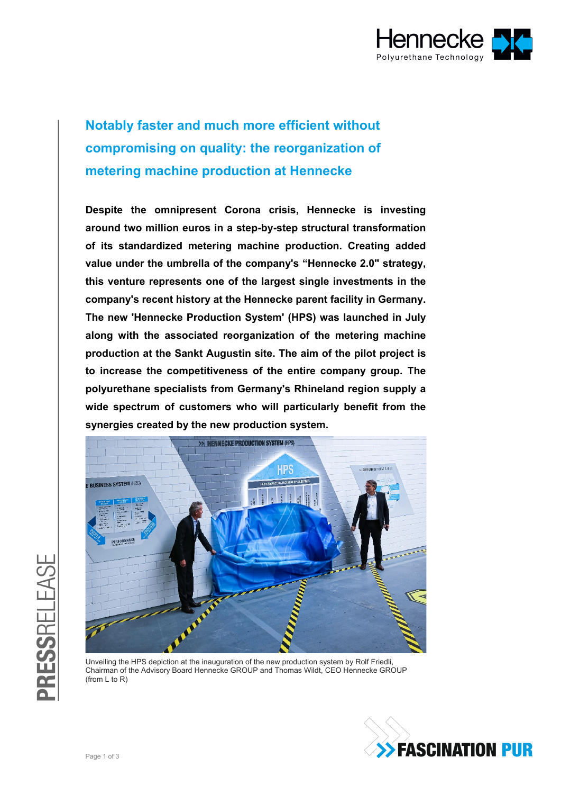

## **Notably faster and much more efficient without compromising on quality: the reorganization of metering machine production at Hennecke**

**Despite the omnipresent Corona crisis, Hennecke is investing around two million euros in a step-by-step structural transformation of its standardized metering machine production. Creating added value under the umbrella of the company's "Hennecke 2.0" strategy, this venture represents one of the largest single investments in the company's recent history at the Hennecke parent facility in Germany. The new 'Hennecke Production System' (HPS) was launched in July along with the associated reorganization of the metering machine production at the Sankt Augustin site. The aim of the pilot project is to increase the competitiveness of the entire company group. The polyurethane specialists from Germany's Rhineland region supply a wide spectrum of customers who will particularly benefit from the synergies created by the new production system.** 



Unveiling the HPS depiction at the inauguration of the new production system by Rolf Friedli, Chairman of the Advisory Board Hennecke GROUP and Thomas Wildt, CEO Hennecke GROUP (from  $|$  to  $R$ )

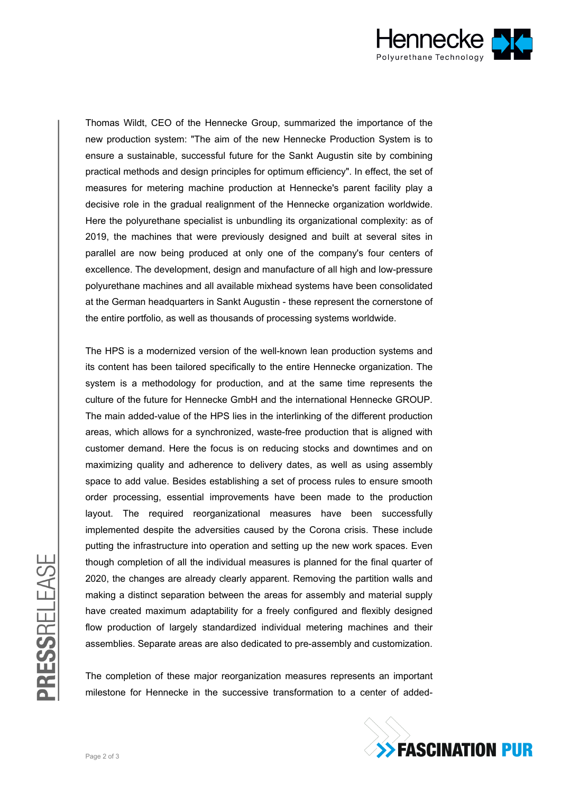

Thomas Wildt, CEO of the Hennecke Group, summarized the importance of the new production system: "The aim of the new Hennecke Production System is to ensure a sustainable, successful future for the Sankt Augustin site by combining practical methods and design principles for optimum efficiency". In effect, the set of measures for metering machine production at Hennecke's parent facility play a decisive role in the gradual realignment of the Hennecke organization worldwide. Here the polyurethane specialist is unbundling its organizational complexity: as of 2019, the machines that were previously designed and built at several sites in parallel are now being produced at only one of the company's four centers of excellence. The development, design and manufacture of all high and low-pressure polyurethane machines and all available mixhead systems have been consolidated at the German headquarters in Sankt Augustin - these represent the cornerstone of the entire portfolio, as well as thousands of processing systems worldwide.

The HPS is a modernized version of the well-known lean production systems and its content has been tailored specifically to the entire Hennecke organization. The system is a methodology for production, and at the same time represents the culture of the future for Hennecke GmbH and the international Hennecke GROUP. The main added-value of the HPS lies in the interlinking of the different production areas, which allows for a synchronized, waste-free production that is aligned with customer demand. Here the focus is on reducing stocks and downtimes and on maximizing quality and adherence to delivery dates, as well as using assembly space to add value. Besides establishing a set of process rules to ensure smooth order processing, essential improvements have been made to the production layout. The required reorganizational measures have been successfully implemented despite the adversities caused by the Corona crisis. These include putting the infrastructure into operation and setting up the new work spaces. Even though completion of all the individual measures is planned for the final quarter of 2020, the changes are already clearly apparent. Removing the partition walls and making a distinct separation between the areas for assembly and material supply have created maximum adaptability for a freely configured and flexibly designed flow production of largely standardized individual metering machines and their assemblies. Separate areas are also dedicated to pre-assembly and customization.

The completion of these major reorganization measures represents an important milestone for Hennecke in the successive transformation to a center of added-